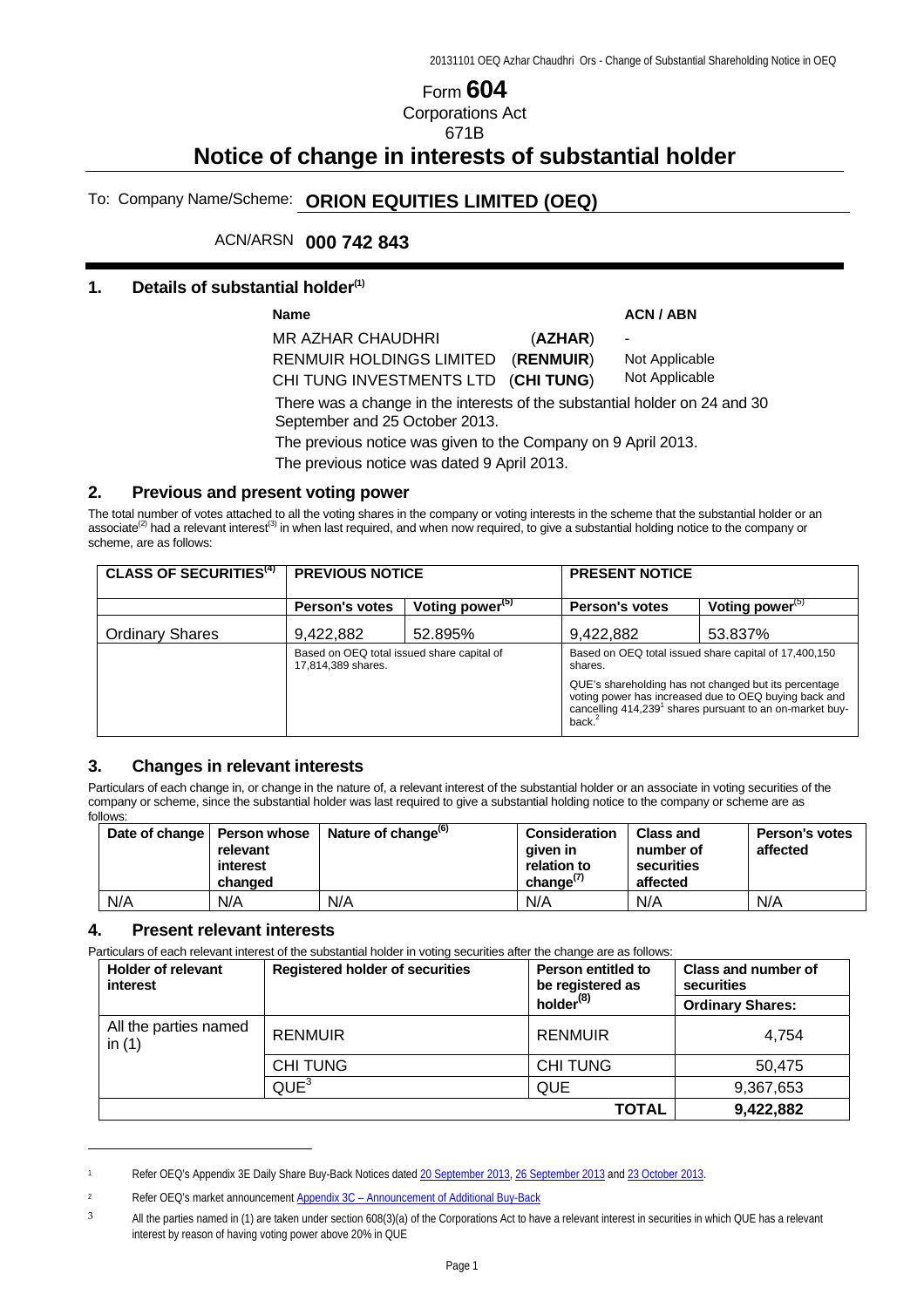# Form **604** Corporations Act 671B

# **Notice of change in interests of substantial holder**

# To: Company Name/Scheme: **ORION EQUITIES LIMITED (OEQ)**

# ACN/ARSN **000 742 843**

#### **1. Details of substantial holder(1)**

Name **ACN** / ABN MR AZHAR CHAUDHRI (**AZHAR**) RENMUIR HOLDINGS LIMITED (**RENMUIR**) -

Not Applicable

Not Applicable

There was a change in the interests of the substantial holder on 24 and 30 September and 25 October 2013.

The previous notice was given to the Company on 9 April 2013.

The previous notice was dated 9 April 2013.

CHI TUNG INVESTMENTS LTD (**CHI TUNG**)

#### **2. Previous and present voting power**

The total number of votes attached to all the voting shares in the company or voting interests in the scheme that the substantial holder or an associate<sup>(2)</sup> had a relevant interest<sup>(3)</sup> in when last required, and when now required, to give a substantial holding notice to the company or scheme, are as follows:

| <b>CLASS OF SECURITIES<sup>(4)</sup></b> | <b>PREVIOUS NOTICE</b>                                           |                             | <b>PRESENT NOTICE</b>                                                                                                                                                                                  |                             |  |
|------------------------------------------|------------------------------------------------------------------|-----------------------------|--------------------------------------------------------------------------------------------------------------------------------------------------------------------------------------------------------|-----------------------------|--|
|                                          | <b>Person's votes</b>                                            | Voting power <sup>(5)</sup> | <b>Person's votes</b>                                                                                                                                                                                  | Voting power <sup>(5)</sup> |  |
| <b>Ordinary Shares</b>                   | 9,422,882                                                        | 52.895%                     | 9,422,882                                                                                                                                                                                              | 53.837%                     |  |
|                                          | Based on OEQ total issued share capital of<br>17,814,389 shares. |                             | Based on OEQ total issued share capital of 17,400,150<br>shares.                                                                                                                                       |                             |  |
|                                          |                                                                  |                             | QUE's shareholding has not changed but its percentage<br>voting power has increased due to OEQ buying back and<br>cancelling 414,239 <sup>1</sup> shares pursuant to an on-market buy-<br>back. $^{2}$ |                             |  |

### **3. Changes in relevant interests**

Particulars of each change in, or change in the nature of, a relevant interest of the substantial holder or an associate in voting securities of the company or scheme, since the substantial holder was last required to give a substantial holding notice to the company or scheme are as follows:

|     | Date of change   Person whose<br>relevant<br>interest<br>changed | Nature of change <sup>(b)</sup> | <b>Consideration</b><br>aiven in<br>relation to<br>change $\frac{1}{2}$ | <b>Class and</b><br>number of<br>securities<br>affected | Person's votes<br>affected |
|-----|------------------------------------------------------------------|---------------------------------|-------------------------------------------------------------------------|---------------------------------------------------------|----------------------------|
| N/A | N/A                                                              | N/A                             | N/A                                                                     | N/A                                                     | N/A                        |

#### **4. Present relevant interests**

 $\overline{a}$ 

Particulars of each relevant interest of the substantial holder in voting securities after the change are as follows:

| <b>Holder of relevant</b><br>interest | <b>Registered holder of securities</b> | Person entitled to<br>be registered as | Class and number of<br>securities |
|---------------------------------------|----------------------------------------|----------------------------------------|-----------------------------------|
|                                       |                                        | holder <sup>(8)</sup>                  | <b>Ordinary Shares:</b>           |
| All the parties named<br>in $(1)$     | <b>RENMUIR</b>                         | <b>RENMUIR</b>                         | 4.754                             |
|                                       | <b>CHITUNG</b>                         | <b>CHI TUNG</b>                        | 50,475                            |
|                                       | QUE <sup>3</sup>                       | QUE                                    | 9,367,653                         |
|                                       |                                        | <b>TOTAL</b>                           | 9,422,882                         |

<sup>1</sup> Refer OEQ's Appendix 3E Daily Share Buy-Back Notices dated 20 September 2013, 26 September 2013 and 23 October 2013.

<sup>2</sup> Refer OEQ's market announcement Appendix 3C – Announcement of Additional Buy-Back

<sup>&</sup>lt;sup>3</sup> All the parties named in (1) are taken under section 608(3)(a) of the Corporations Act to have a relevant interest in securities in which QUE has a relevant interest by reason of having voting power above 20% in QUE